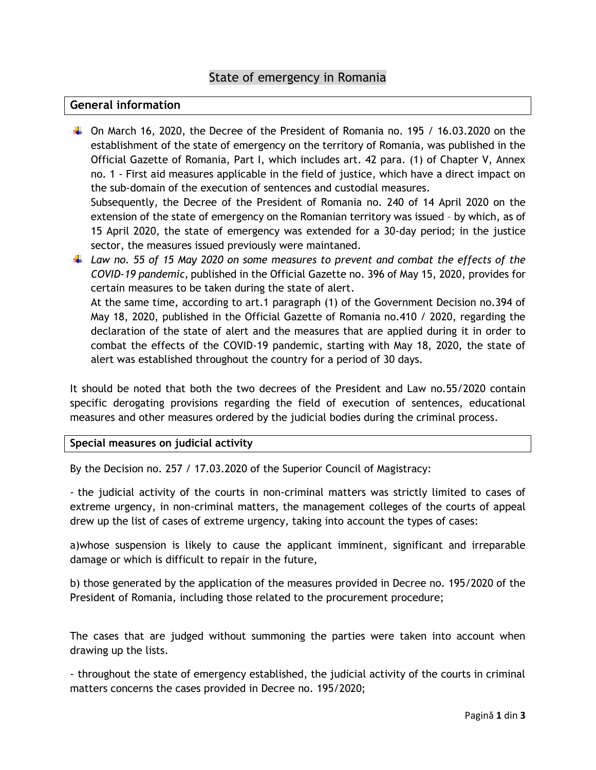## State of emergency in Romania

## **General information**

 $\ddot{\phantom{1}}$  On March 16, 2020, the Decree of the President of Romania no. 195 / 16.03.2020 on the establishment of the state of emergency on the territory of Romania, was published in the Official Gazette of Romania, Part I, which includes art. 42 para. (1) of Chapter V, Annex no. 1 - First aid measures applicable in the field of justice, which have a direct impact on the sub-domain of the execution of sentences and custodial measures.

Subsequently, the Decree of the President of Romania no. 240 of 14 April 2020 on the extension of the state of emergency on the Romanian territory was issued – by which, as of 15 April 2020, the state of emergency was extended for a 30-day period; in the justice sector, the measures issued previously were maintaned.

*Law no. 55 of 15 May 2020 on some measures to prevent and combat the effects of the COVID-19 pandemic,* published in the Official Gazette no. 396 of May 15, 2020, provides for certain measures to be taken during the state of alert. At the same time, according to art.1 paragraph (1) of the Government Decision no.394 of May 18, 2020, published in the Official Gazette of Romania no.410 / 2020, regarding the declaration of the state of alert and the measures that are applied during it in order to combat the effects of the COVID-19 pandemic, starting with May 18, 2020, the state of alert was established throughout the country for a period of 30 days.

It should be noted that both the two decrees of the President and Law no.55/2020 contain specific derogating provisions regarding the field of execution of sentences, educational measures and other measures ordered by the judicial bodies during the criminal process.

## **Special measures on judicial activity**

By the Decision no. 257 / 17.03.2020 of the Superior Council of Magistracy:

- the judicial activity of the courts in non-criminal matters was strictly limited to cases of extreme urgency, in non-criminal matters, the management colleges of the courts of appeal drew up the list of cases of extreme urgency, taking into account the types of cases:

a)whose suspension is likely to cause the applicant imminent, significant and irreparable damage or which is difficult to repair in the future,

b) those generated by the application of the measures provided in Decree no. 195/2020 of the President of Romania, including those related to the procurement procedure;

The cases that are judged without summoning the parties were taken into account when drawing up the lists.

- throughout the state of emergency established, the judicial activity of the courts in criminal matters concerns the cases provided in Decree no. 195/2020;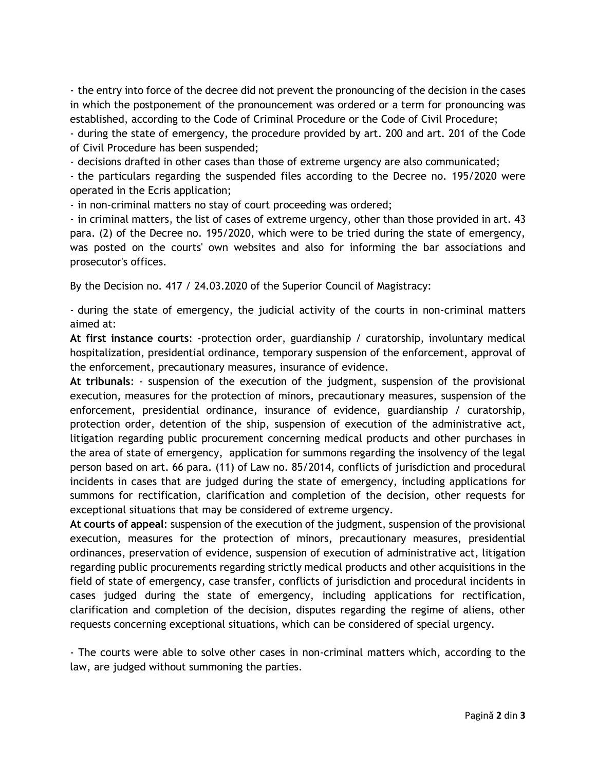- the entry into force of the decree did not prevent the pronouncing of the decision in the cases in which the postponement of the pronouncement was ordered or a term for pronouncing was established, according to the Code of Criminal Procedure or the Code of Civil Procedure;

- during the state of emergency, the procedure provided by art. 200 and art. 201 of the Code of Civil Procedure has been suspended;

- decisions drafted in other cases than those of extreme urgency are also communicated;

- the particulars regarding the suspended files according to the Decree no. 195/2020 were operated in the Ecris application;

- in non-criminal matters no stay of court proceeding was ordered;

- in criminal matters, the list of cases of extreme urgency, other than those provided in art. 43 para. (2) of the Decree no. 195/2020, which were to be tried during the state of emergency, was posted on the courts' own websites and also for informing the bar associations and prosecutor's offices.

By the Decision no. 417 / 24.03.2020 of the Superior Council of Magistracy:

- during the state of emergency, the judicial activity of the courts in non-criminal matters aimed at:

**At first instance courts**: -protection order, guardianship / curatorship, involuntary medical hospitalization, presidential ordinance, temporary suspension of the enforcement, approval of the enforcement, precautionary measures, insurance of evidence.

**At tribunals**: - suspension of the execution of the judgment, suspension of the provisional execution, measures for the protection of minors, precautionary measures, suspension of the enforcement, presidential ordinance, insurance of evidence, guardianship / curatorship, protection order, detention of the ship, suspension of execution of the administrative act, litigation regarding public procurement concerning medical products and other purchases in the area of state of emergency, application for summons regarding the insolvency of the legal person based on art. 66 para. (11) of Law no. 85/2014, conflicts of jurisdiction and procedural incidents in cases that are judged during the state of emergency, including applications for summons for rectification, clarification and completion of the decision, other requests for exceptional situations that may be considered of extreme urgency.

**At courts of appeal**: suspension of the execution of the judgment, suspension of the provisional execution, measures for the protection of minors, precautionary measures, presidential ordinances, preservation of evidence, suspension of execution of administrative act, litigation regarding public procurements regarding strictly medical products and other acquisitions in the field of state of emergency, case transfer, conflicts of jurisdiction and procedural incidents in cases judged during the state of emergency, including applications for rectification, clarification and completion of the decision, disputes regarding the regime of aliens, other requests concerning exceptional situations, which can be considered of special urgency.

- The courts were able to solve other cases in non-criminal matters which, according to the law, are judged without summoning the parties.